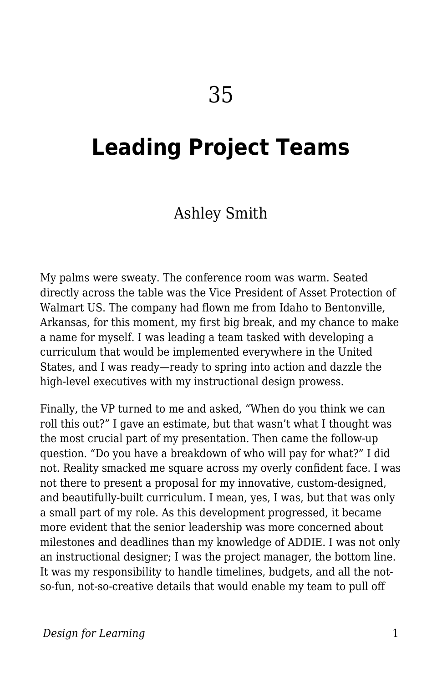# **Leading Project Teams**

# Ashley Smith

My palms were sweaty. The conference room was warm. Seated directly across the table was the Vice President of Asset Protection of Walmart US. The company had flown me from Idaho to Bentonville, Arkansas, for this moment, my first big break, and my chance to make a name for myself. I was leading a team tasked with developing a curriculum that would be implemented everywhere in the United States, and I was ready—ready to spring into action and dazzle the high-level executives with my instructional design prowess.

Finally, the VP turned to me and asked, "When do you think we can roll this out?" I gave an estimate, but that wasn't what I thought was the most crucial part of my presentation. Then came the follow-up question. "Do you have a breakdown of who will pay for what?" I did not. Reality smacked me square across my overly confident face. I was not there to present a proposal for my innovative, custom-designed, and beautifully-built curriculum. I mean, yes, I was, but that was only a small part of my role. As this development progressed, it became more evident that the senior leadership was more concerned about milestones and deadlines than my knowledge of ADDIE. I was not only an instructional designer; I was the project manager, the bottom line. It was my responsibility to handle timelines, budgets, and all the notso-fun, not-so-creative details that would enable my team to pull off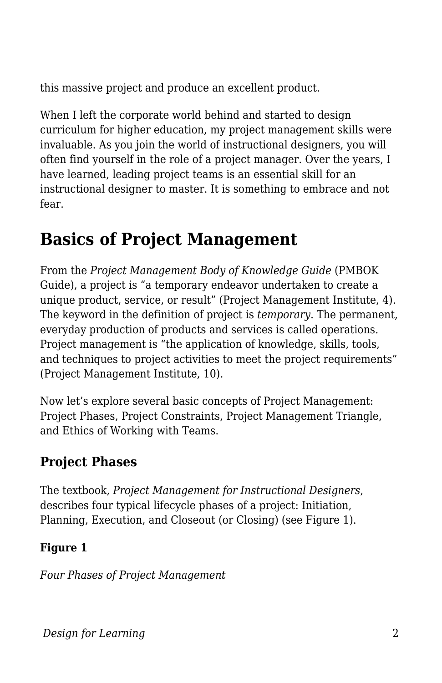this massive project and produce an excellent product.

When I left the corporate world behind and started to design curriculum for higher education, my project management skills were invaluable. As you join the world of instructional designers, you will often find yourself in the role of a project manager. Over the years, I have learned, leading project teams is an essential skill for an instructional designer to master. It is something to embrace and not fear.

# **Basics of Project Management**

From the *Project Management Body of Knowledge Guide* (PMBOK Guide), a project is "a temporary endeavor undertaken to create a unique product, service, or result" (Project Management Institute, 4). The keyword in the definition of project is *temporary*. The permanent, everyday production of products and services is called operations. Project management is "the application of knowledge, skills, tools, and techniques to project activities to meet the project requirements" (Project Management Institute, 10).

Now let's explore several basic concepts of Project Management: Project Phases, Project Constraints, Project Management Triangle, and Ethics of Working with Teams.

## **Project Phases**

The textbook, *Project Management for Instructional Designers*, describes four typical lifecycle phases of a project: Initiation, Planning, Execution, and Closeout (or Closing) (see Figure 1).

#### **Figure 1**

*Four Phases of Project Management*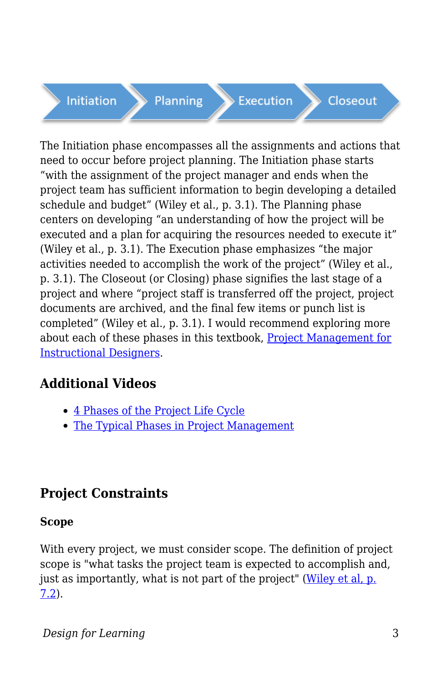Initiation

Execution

Closeout

The Initiation phase encompasses all the assignments and actions that need to occur before project planning. The Initiation phase starts "with the assignment of the project manager and ends when the project team has sufficient information to begin developing a detailed schedule and budget" (Wiley et al., p. 3.1). The Planning phase centers on developing "an understanding of how the project will be executed and a plan for acquiring the resources needed to execute it" (Wiley et al., p. 3.1). The Execution phase emphasizes "the major activities needed to accomplish the work of the project" (Wiley et al., p. 3.1). The Closeout (or Closing) phase signifies the last stage of a project and where "project staff is transferred off the project, project documents are archived, and the final few items or punch list is completed" (Wiley et al., p. 3.1). I would recommend exploring more about each of these phases in this textbook, [Project Management for](https://pm4id.org/chapter/3-1-project-phases-and-organization/) [Instructional Designers](https://pm4id.org/chapter/3-1-project-phases-and-organization/).

## **Additional Videos**

- [4 Phases of the Project Life Cycle](https://youtu.be/N3N9-RLSbvo)
- [The Typical Phases in Project Management](https://www.youtube.com/watch?v=sLgdRO5IS9U)

Planning

# **Project Constraints**

#### **Scope**

With every project, we must consider scope. The definition of project scope is "what tasks the project team is expected to accomplish and, just as importantly, what is not part of the project" ([Wiley et al, p.](https://pm4id.org/chapter/7-2-project-scope/) [7.2](https://pm4id.org/chapter/7-2-project-scope/)).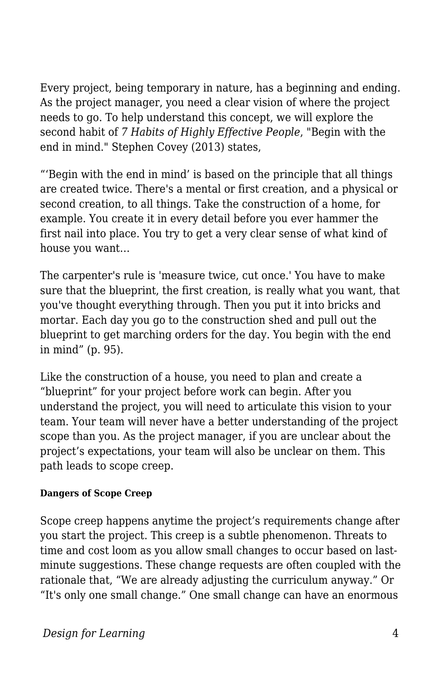Every project, being temporary in nature, has a beginning and ending. As the project manager, you need a clear vision of where the project needs to go. To help understand this concept, we will explore the second habit of *7 Habits of Highly Effective People*, "Begin with the end in mind." Stephen Covey (2013) states,

"'Begin with the end in mind' is based on the principle that all things are created twice. There's a mental or first creation, and a physical or second creation, to all things. Take the construction of a home, for example. You create it in every detail before you ever hammer the first nail into place. You try to get a very clear sense of what kind of house you want…

The carpenter's rule is 'measure twice, cut once.' You have to make sure that the blueprint, the first creation, is really what you want, that you've thought everything through. Then you put it into bricks and mortar. Each day you go to the construction shed and pull out the blueprint to get marching orders for the day. You begin with the end in mind" (p. 95).

Like the construction of a house, you need to plan and create a "blueprint" for your project before work can begin. After you understand the project, you will need to articulate this vision to your team. Your team will never have a better understanding of the project scope than you. As the project manager, if you are unclear about the project's expectations, your team will also be unclear on them. This path leads to scope creep.

#### **Dangers of Scope Creep**

Scope creep happens anytime the project's requirements change after you start the project. This creep is a subtle phenomenon. Threats to time and cost loom as you allow small changes to occur based on lastminute suggestions. These change requests are often coupled with the rationale that, "We are already adjusting the curriculum anyway." Or "It's only one small change." One small change can have an enormous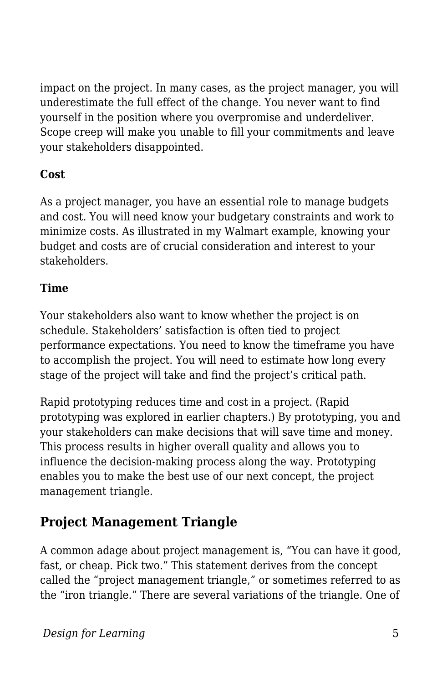impact on the project. In many cases, as the project manager, you will underestimate the full effect of the change. You never want to find yourself in the position where you overpromise and underdeliver. Scope creep will make you unable to fill your commitments and leave your stakeholders disappointed.

#### **Cost**

As a project manager, you have an essential role to manage budgets and cost. You will need know your budgetary constraints and work to minimize costs. As illustrated in my Walmart example, knowing your budget and costs are of crucial consideration and interest to your stakeholders.

#### **Time**

Your stakeholders also want to know whether the project is on schedule. Stakeholders' satisfaction is often tied to project performance expectations. You need to know the timeframe you have to accomplish the project. You will need to estimate how long every stage of the project will take and find the project's critical path.

Rapid prototyping reduces time and cost in a project. (Rapid prototyping was explored in earlier chapters.) By prototyping, you and your stakeholders can make decisions that will save time and money. This process results in higher overall quality and allows you to influence the decision-making process along the way. Prototyping enables you to make the best use of our next concept, the project management triangle.

## **Project Management Triangle**

A common adage about project management is, "You can have it good, fast, or cheap. Pick two." This statement derives from the concept called the "project management triangle," or sometimes referred to as the "iron triangle." There are several variations of the triangle. One of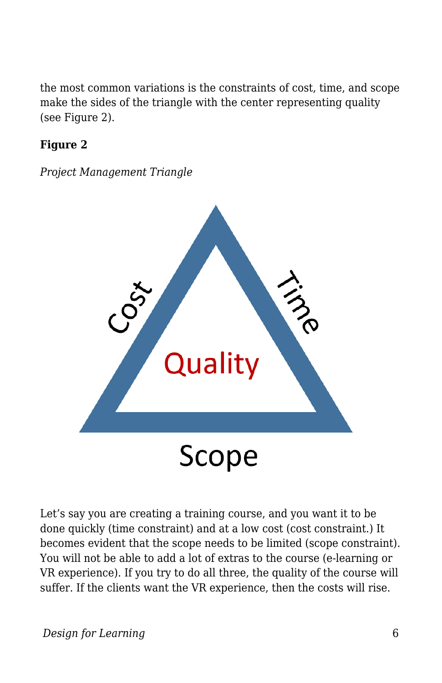the most common variations is the constraints of cost, time, and scope make the sides of the triangle with the center representing quality (see Figure 2).

#### **Figure 2**

#### *Project Management Triangle*



Let's say you are creating a training course, and you want it to be done quickly (time constraint) and at a low cost (cost constraint.) It becomes evident that the scope needs to be limited (scope constraint). You will not be able to add a lot of extras to the course (e-learning or VR experience). If you try to do all three, the quality of the course will suffer. If the clients want the VR experience, then the costs will rise.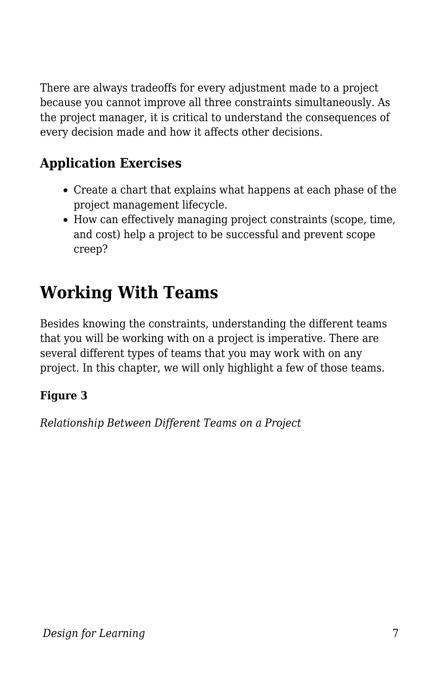There are always tradeoffs for every adjustment made to a project because you cannot improve all three constraints simultaneously. As the project manager, it is critical to understand the consequences of every decision made and how it affects other decisions.

## **Application Exercises**

- Create a chart that explains what happens at each phase of the project management lifecycle.
- How can effectively managing project constraints (scope, time, and cost) help a project to be successful and prevent scope creep?

# **Working With Teams**

Besides knowing the constraints, understanding the different teams that you will be working with on a project is imperative. There are several different types of teams that you may work with on any project. In this chapter, we will only highlight a few of those teams.

#### **Figure 3**

*Relationship Between Different Teams on a Project*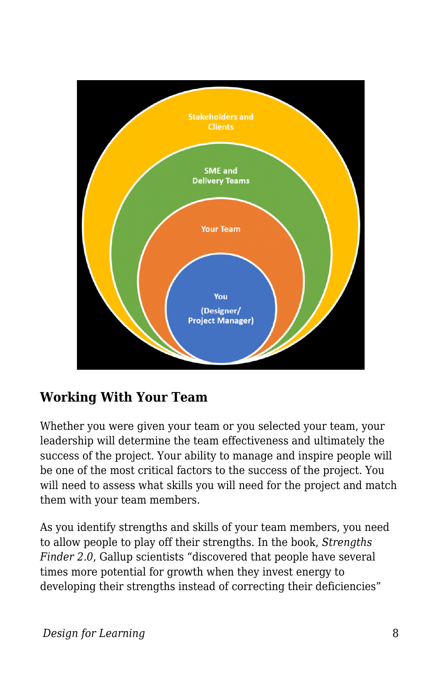

## **Working With Your Team**

Whether you were given your team or you selected your team, your leadership will determine the team effectiveness and ultimately the success of the project. Your ability to manage and inspire people will be one of the most critical factors to the success of the project. You will need to assess what skills you will need for the project and match them with your team members.

As you identify strengths and skills of your team members, you need to allow people to play off their strengths. In the book, *Strengths Finder 2.0*, Gallup scientists "discovered that people have several times more potential for growth when they invest energy to developing their strengths instead of correcting their deficiencies"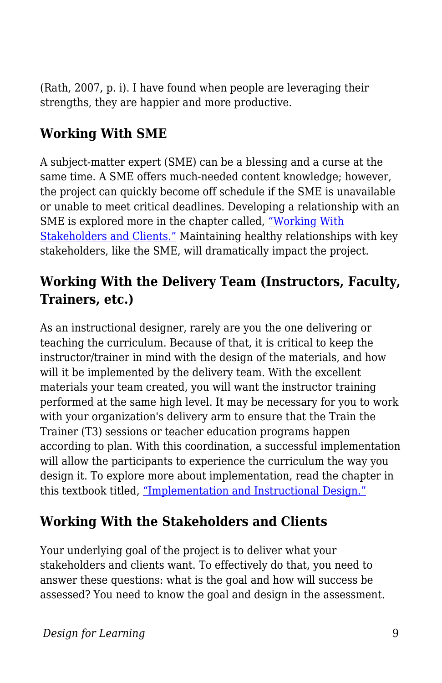(Rath, 2007, p. i). I have found when people are leveraging their strengths, they are happier and more productive.

#### **Working With SME**

A subject-matter expert (SME) can be a blessing and a curse at the same time. A SME offers much-needed content knowledge; however, the project can quickly become off schedule if the SME is unavailable or unable to meet critical deadlines. Developing a relationship with an SME is explored more in the chapter called, ["Working With](https://edtechbooks.org/id/working_with_stakeholders) [Stakeholders and Clients."](https://edtechbooks.org/id/working_with_stakeholders) Maintaining healthy relationships with key stakeholders, like the SME, will dramatically impact the project.

## **Working With the Delivery Team (Instructors, Faculty, Trainers, etc.)**

As an instructional designer, rarely are you the one delivering or teaching the curriculum. Because of that, it is critical to keep the instructor/trainer in mind with the design of the materials, and how will it be implemented by the delivery team. With the excellent materials your team created, you will want the instructor training performed at the same high level. It may be necessary for you to work with your organization's delivery arm to ensure that the Train the Trainer (T3) sessions or teacher education programs happen according to plan. With this coordination, a successful implementation will allow the participants to experience the curriculum the way you design it. To explore more about implementation, read the chapter in this textbook titled, ["Implementation and Instructional Design."](https://edtechbooks.org/id/implementation_and_i)

#### **Working With the Stakeholders and Clients**

Your underlying goal of the project is to deliver what your stakeholders and clients want. To effectively do that, you need to answer these questions: what is the goal and how will success be assessed? You need to know the goal and design in the assessment.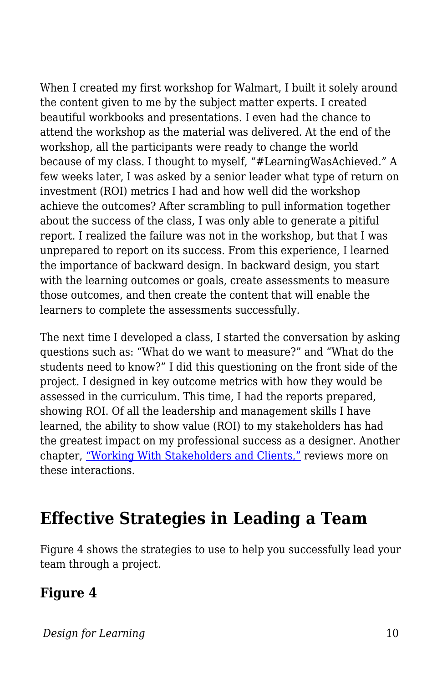When I created my first workshop for Walmart, I built it solely around the content given to me by the subject matter experts. I created beautiful workbooks and presentations. I even had the chance to attend the workshop as the material was delivered. At the end of the workshop, all the participants were ready to change the world because of my class. I thought to myself, "#LearningWasAchieved." A few weeks later, I was asked by a senior leader what type of return on investment (ROI) metrics I had and how well did the workshop achieve the outcomes? After scrambling to pull information together about the success of the class, I was only able to generate a pitiful report. I realized the failure was not in the workshop, but that I was unprepared to report on its success. From this experience, I learned the importance of backward design. In backward design, you start with the learning outcomes or goals, create assessments to measure those outcomes, and then create the content that will enable the learners to complete the assessments successfully.

The next time I developed a class, I started the conversation by asking questions such as: "What do we want to measure?" and "What do the students need to know?" I did this questioning on the front side of the project. I designed in key outcome metrics with how they would be assessed in the curriculum. This time, I had the reports prepared, showing ROI. Of all the leadership and management skills I have learned, the ability to show value (ROI) to my stakeholders has had the greatest impact on my professional success as a designer. Another chapter, ["Working With Stakeholders and Clients,"](https://edtechbooks.org/id/working_with_stakeholders) reviews more on these interactions.

# **Effective Strategies in Leading a Team**

Figure 4 shows the strategies to use to help you successfully lead your team through a project.

#### **Figure 4**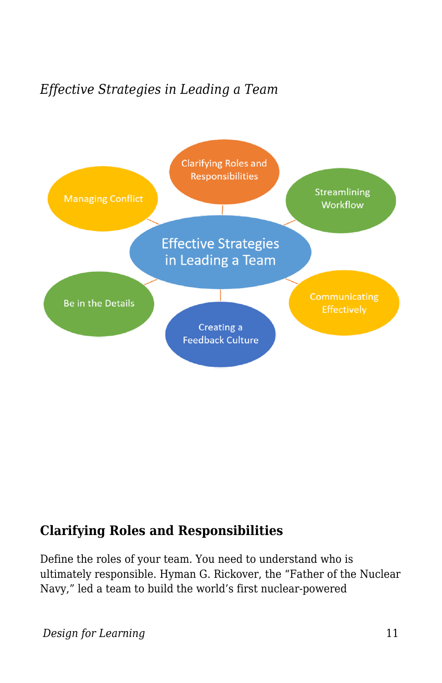## *Effective Strategies in Leading a Team*



#### **Clarifying Roles and Responsibilities**

Define the roles of your team. You need to understand who is ultimately responsible. Hyman G. Rickover, the "Father of the Nuclear Navy," led a team to build the world's first nuclear-powered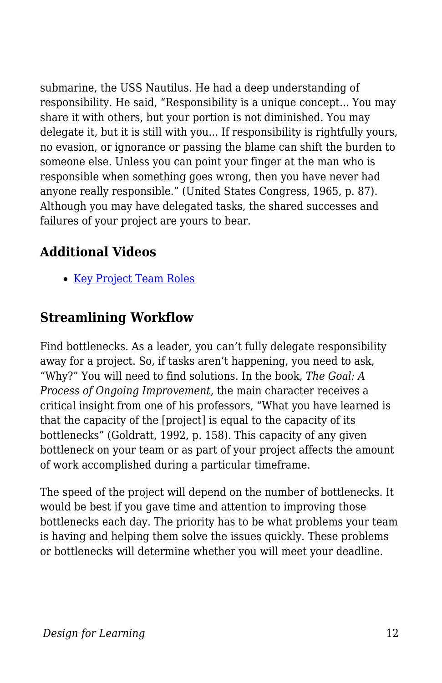submarine, the USS Nautilus. He had a deep understanding of responsibility. He said, "Responsibility is a unique concept... You may share it with others, but your portion is not diminished. You may delegate it, but it is still with you... If responsibility is rightfully yours, no evasion, or ignorance or passing the blame can shift the burden to someone else. Unless you can point your finger at the man who is responsible when something goes wrong, then you have never had anyone really responsible." (United States Congress, 1965, p. 87). Although you may have delegated tasks, the shared successes and failures of your project are yours to bear.

## **Additional Videos**

• [Key Project Team Roles](https://youtu.be/KDbYzGY_QiE)

## **Streamlining Workflow**

Find bottlenecks. As a leader, you can't fully delegate responsibility away for a project. So, if tasks aren't happening, you need to ask, "Why?" You will need to find solutions. In the book, *The Goal: A Process of Ongoing Improvement*, the main character receives a critical insight from one of his professors, "What you have learned is that the capacity of the [project] is equal to the capacity of its bottlenecks" (Goldratt, 1992, p. 158). This capacity of any given bottleneck on your team or as part of your project affects the amount of work accomplished during a particular timeframe.

The speed of the project will depend on the number of bottlenecks. It would be best if you gave time and attention to improving those bottlenecks each day. The priority has to be what problems your team is having and helping them solve the issues quickly. These problems or bottlenecks will determine whether you will meet your deadline.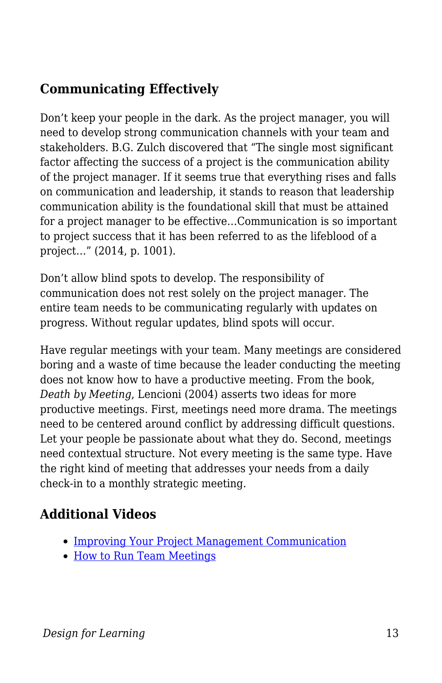## **Communicating Effectively**

Don't keep your people in the dark. As the project manager, you will need to develop strong communication channels with your team and stakeholders. B.G. Zulch discovered that "The single most significant factor affecting the success of a project is the communication ability of the project manager. If it seems true that everything rises and falls on communication and leadership, it stands to reason that leadership communication ability is the foundational skill that must be attained for a project manager to be effective…Communication is so important to project success that it has been referred to as the lifeblood of a project…" (2014, p. 1001).

Don't allow blind spots to develop. The responsibility of communication does not rest solely on the project manager. The entire team needs to be communicating regularly with updates on progress. Without regular updates, blind spots will occur.

Have regular meetings with your team. Many meetings are considered boring and a waste of time because the leader conducting the meeting does not know how to have a productive meeting. From the book, *Death by Meeting*, Lencioni (2004) asserts two ideas for more productive meetings. First, meetings need more drama. The meetings need to be centered around conflict by addressing difficult questions. Let your people be passionate about what they do. Second, meetings need contextual structure. Not every meeting is the same type. Have the right kind of meeting that addresses your needs from a daily check-in to a monthly strategic meeting.

#### **Additional Videos**

- [Improving Your Project Management Communication](https://www.youtube.com/watch?v=1RqnvRYfNyQ)
- [How to Run Team Meetings](https://youtu.be/xW0CjH95K3Q)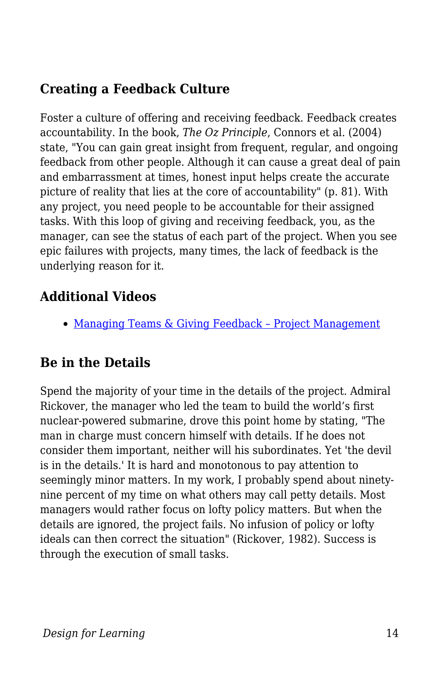#### **Creating a Feedback Culture**

Foster a culture of offering and receiving feedback. Feedback creates accountability. In the book, *The Oz Principle*, Connors et al. (2004) state, "You can gain great insight from frequent, regular, and ongoing feedback from other people. Although it can cause a great deal of pain and embarrassment at times, honest input helps create the accurate picture of reality that lies at the core of accountability" (p. 81). With any project, you need people to be accountable for their assigned tasks. With this loop of giving and receiving feedback, you, as the manager, can see the status of each part of the project. When you see epic failures with projects, many times, the lack of feedback is the underlying reason for it.

## **Additional Videos**

• Managing Teams & Giving Feedback - Project Management

#### **Be in the Details**

Spend the majority of your time in the details of the project. Admiral Rickover, the manager who led the team to build the world's first nuclear-powered submarine, drove this point home by stating, "The man in charge must concern himself with details. If he does not consider them important, neither will his subordinates. Yet 'the devil is in the details.' It is hard and monotonous to pay attention to seemingly minor matters. In my work, I probably spend about ninetynine percent of my time on what others may call petty details. Most managers would rather focus on lofty policy matters. But when the details are ignored, the project fails. No infusion of policy or lofty ideals can then correct the situation" (Rickover, 1982). Success is through the execution of small tasks.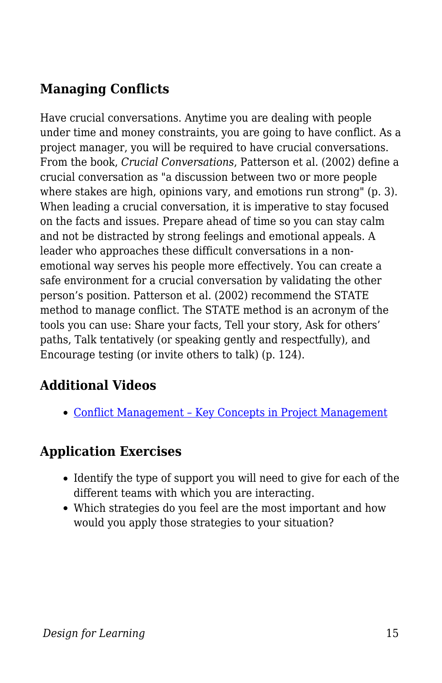## **Managing Conflicts**

Have crucial conversations. Anytime you are dealing with people under time and money constraints, you are going to have conflict. As a project manager, you will be required to have crucial conversations. From the book, *Crucial Conversations*, Patterson et al. (2002) define a crucial conversation as "a discussion between two or more people where stakes are high, opinions vary, and emotions run strong" (p. 3). When leading a crucial conversation, it is imperative to stay focused on the facts and issues. Prepare ahead of time so you can stay calm and not be distracted by strong feelings and emotional appeals. A leader who approaches these difficult conversations in a nonemotional way serves his people more effectively. You can create a safe environment for a crucial conversation by validating the other person's position. Patterson et al. (2002) recommend the STATE method to manage conflict. The STATE method is an acronym of the tools you can use: Share your facts, Tell your story, Ask for others' paths, Talk tentatively (or speaking gently and respectfully), and Encourage testing (or invite others to talk) (p. 124).

## **Additional Videos**

[Conflict Management – Key Concepts in Project Management](https://youtu.be/wSwtbok3rv0)

## **Application Exercises**

- Identify the type of support you will need to give for each of the different teams with which you are interacting.
- Which strategies do you feel are the most important and how would you apply those strategies to your situation?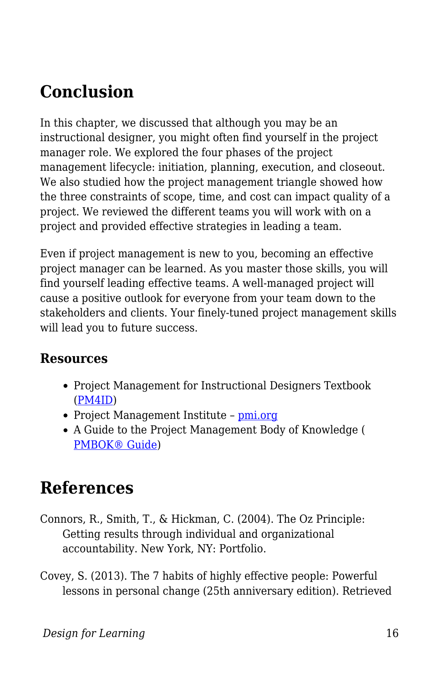# **Conclusion**

In this chapter, we discussed that although you may be an instructional designer, you might often find yourself in the project manager role. We explored the four phases of the project management lifecycle: initiation, planning, execution, and closeout. We also studied how the project management triangle showed how the three constraints of scope, time, and cost can impact quality of a project. We reviewed the different teams you will work with on a project and provided effective strategies in leading a team.

Even if project management is new to you, becoming an effective project manager can be learned. As you master those skills, you will find yourself leading effective teams. A well-managed project will cause a positive outlook for everyone from your team down to the stakeholders and clients. Your finely-tuned project management skills will lead you to future success.

#### **Resources**

- Project Management for Instructional Designers Textbook ([PM4ID](https://pm4id.org/))
- Project Management Institute - [pmi.org](https://www.pmi.org/)
- A Guide to the Project Management Body of Knowledge ( [PMBOK® Guide\)](https://www.pmi.org/pmbok-guide-standards)

# **References**

- Connors, R., Smith, T., & Hickman, C. (2004). The Oz Principle: Getting results through individual and organizational accountability. New York, NY: Portfolio.
- Covey, S. (2013). The 7 habits of highly effective people: Powerful lessons in personal change (25th anniversary edition). Retrieved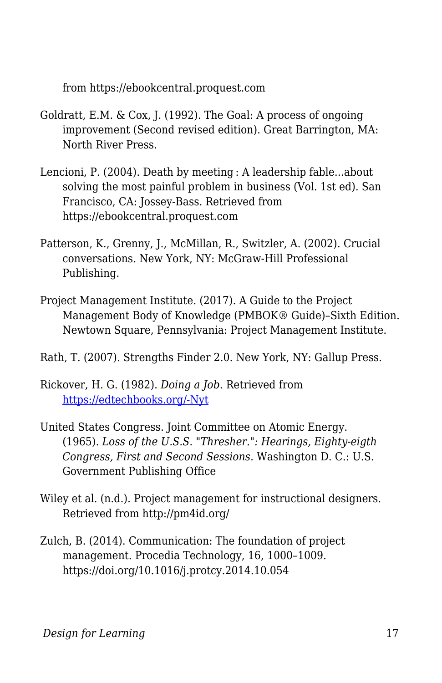from https://ebookcentral.proquest.com

- Goldratt, E.M. & Cox, J. (1992). The Goal: A process of ongoing improvement (Second revised edition). Great Barrington, MA: North River Press.
- Lencioni, P. (2004). Death by meeting : A leadership fable...about solving the most painful problem in business (Vol. 1st ed). San Francisco, CA: Jossey-Bass. Retrieved from https://ebookcentral.proquest.com
- Patterson, K., Grenny, J., McMillan, R., Switzler, A. (2002). Crucial conversations. New York, NY: McGraw-Hill Professional Publishing.
- Project Management Institute. (2017). A Guide to the Project Management Body of Knowledge (PMBOK® Guide)–Sixth Edition. Newtown Square, Pennsylvania: Project Management Institute.
- Rath, T. (2007). Strengths Finder 2.0. New York, NY: Gallup Press.
- Rickover, H. G. (1982). *Doing a Job*. Retrieved from [https://edtechbooks.org/-Nyt](https://govleaders.org/rickover.htm)
- United States Congress. Joint Committee on Atomic Energy. (1965). *Loss of the U.S.S. "Thresher.": Hearings, Eighty-eigth Congress, First and Second Sessions*. Washington D. C.: U.S. Government Publishing Office
- Wiley et al. (n.d.). Project management for instructional designers. Retrieved from http://pm4id.org/
- Zulch, B. (2014). Communication: The foundation of project management. Procedia Technology, 16, 1000–1009. https://doi.org/10.1016/j.protcy.2014.10.054